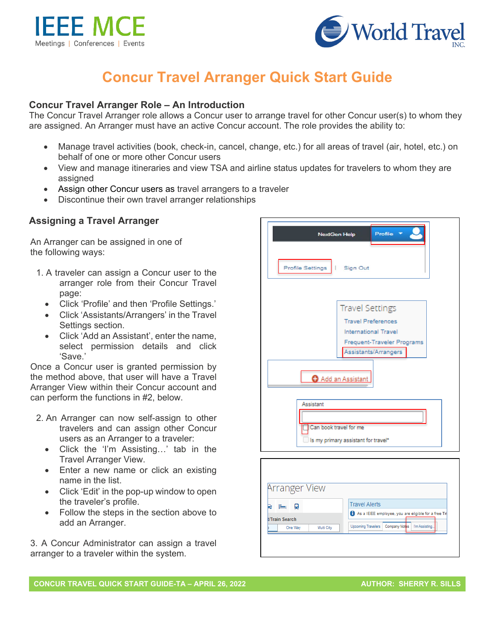



# **Concur Travel Arranger Quick Start Guide**

## **Concur Travel Arranger Role – An Introduction**

The Concur Travel Arranger role allows a Concur user to arrange travel for other Concur user(s) to whom they are assigned. An Arranger must have an active Concur account. The role provides the ability to:

- Manage travel activities (book, check-in, cancel, change, etc.) for all areas of travel (air, hotel, etc.) on behalf of one or more other Concur users
- View and manage itineraries and view TSA and airline status updates for travelers to whom they are assigned
- Assign other Concur users as travel arrangers to a traveler
- Discontinue their own travel arranger relationships

## **Assigning a Travel Arranger**

An Arranger can be assigned in one of the following ways:

- 1. A traveler can assign a Concur user to the arranger role from their Concur Travel page:
	- Click 'Profile' and then 'Profile Settings.'
	- Click 'Assistants/Arrangers' in the Travel Settings section.
	- Click 'Add an Assistant', enter the name, select permission details and click 'Save.'

Once a Concur user is granted permission by the method above, that user will have a Travel Arranger View within their Concur account and can perform the functions in #2, below.

- 2. An Arranger can now self-assign to other travelers and can assign other Concur users as an Arranger to a traveler:
	- Click the 'I'm Assisting…' tab in the Travel Arranger View.
	- Enter a new name or click an existing name in the list.
	- Click 'Edit' in the pop-up window to open the traveler's profile.
	- Follow the steps in the section above to add an Arranger.

3. A Concur Administrator can assign a travel arranger to a traveler within the system.



|                     | <b>Arranger View</b> |            |                                                     |                                                              |  |
|---------------------|----------------------|------------|-----------------------------------------------------|--------------------------------------------------------------|--|
|                     |                      |            |                                                     |                                                              |  |
| o<br>t/Train Search |                      |            |                                                     | <b>Travel Alerts</b>                                         |  |
|                     |                      |            | As a IEEE employee, you are eligible for a free Tri |                                                              |  |
|                     |                      |            |                                                     |                                                              |  |
|                     | One Way              | Multi City |                                                     | Company Notes<br>I'm Assisting.<br><b>Upcoming Travelers</b> |  |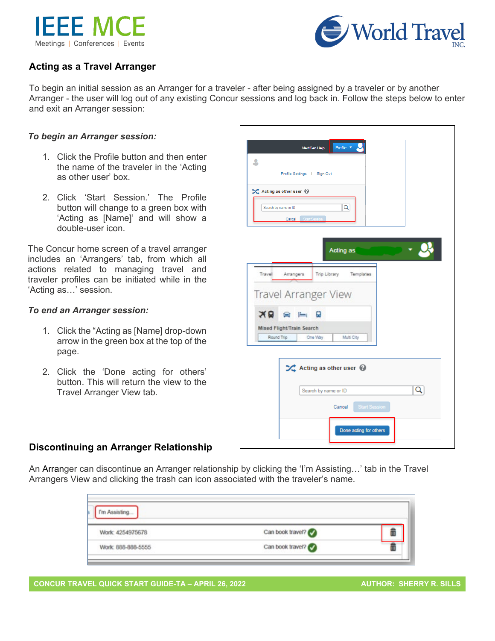



# **Acting as a Travel Arranger**

To begin an initial session as an Arranger for a traveler - after being assigned by a traveler or by another Arranger - the user will log out of any existing Concur sessions and log back in. Follow the steps below to enter and exit an Arranger session:

### *To begin an Arranger session:*

- 1. Click the Profile button and then enter the name of the traveler in the 'Acting as other user' box.
- 2. Click 'Start Session.' The Profile button will change to a green box with 'Acting as [Name]' and will show a double-user icon.

The Concur home screen of a travel arranger includes an 'Arrangers' tab, from which all actions related to managing travel and traveler profiles can be initiated while in the 'Acting as…' session.

#### *To end an Arranger session:*

- 1. Click the "Acting as [Name] drop-down arrow in the green box at the top of the page.
- 2. Click the 'Done acting for others' button. This will return the view to the Travel Arranger View tab.

| ع         | Profile *<br><b>NextGen Help</b>                |   |  |
|-----------|-------------------------------------------------|---|--|
|           | Profile Settings   Sign Out                     |   |  |
|           | ><Acting as other user                          |   |  |
|           | Q<br>Search by name or ID                       |   |  |
|           | Cancel Start Session                            |   |  |
|           |                                                 |   |  |
|           | Acting as                                       |   |  |
|           |                                                 |   |  |
| Travel    | Arrangers<br>Trip Library<br>Templates          |   |  |
|           |                                                 |   |  |
|           |                                                 |   |  |
|           | Travel Arranger View                            |   |  |
| <b>BX</b> | $=$<br>Ω<br>e                                   |   |  |
|           | Mixed Flight/Train Search                       |   |  |
|           | Round Trip<br>One Way<br>Multi City             |   |  |
|           |                                                 |   |  |
|           | $\mathcal{L}$ Acting as other user $\mathcal Q$ |   |  |
|           |                                                 |   |  |
|           | Search by name or ID                            | Q |  |
|           | Cancel Start Session                            |   |  |

# **Discontinuing an Arranger Relationship**

An Arranger can discontinue an Arranger relationship by clicking the 'I'm Assisting…' tab in the Travel Arrangers View and clicking the trash can icon associated with the traveler's name.

| Work: 4254975678   | Can book travel? |  |
|--------------------|------------------|--|
| Work: 888-888-5555 | Can book travel? |  |

**CONCUR TRAVEL QUICK START GUIDE-TA – APRIL 26, 2022 AUTHOR: SHERRY R. SILLS**